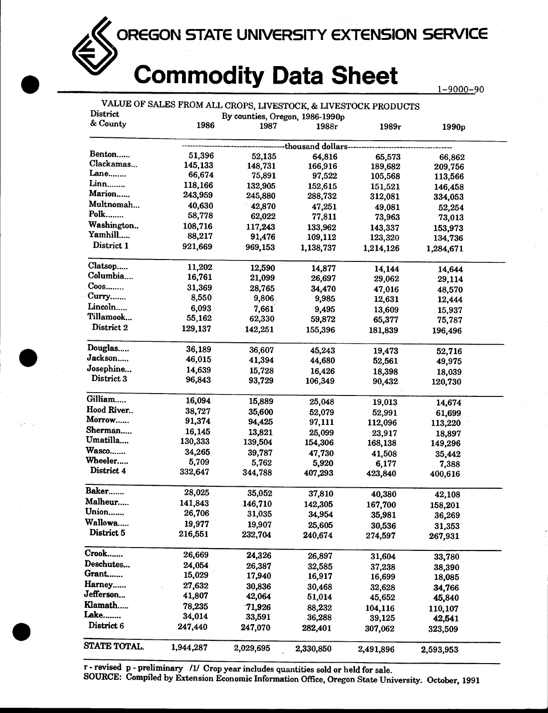OREGON STATE UNIVERSITY EXTENSION SERVICE

## Commodity Data Sheet

| District         | VALUE OF SALES FROM ALL CROPS, LIVESTOCK, & LIVESTOCK PRODUCTS | By counties, Oregon, 1986-1990p |                     |           |                   |  |
|------------------|----------------------------------------------------------------|---------------------------------|---------------------|-----------|-------------------|--|
| & County         | 1986                                                           | 1987                            | 1988r               | 1989r     | 1990 <sub>p</sub> |  |
|                  |                                                                |                                 | -thousand dollars-- |           |                   |  |
| Benton           | 51,396                                                         | 52,135                          | 64,816              | 65,573    | 66,862            |  |
| Clackamas        | 145,133                                                        | 148,731                         | 166,916             | 189,682   | 209,756           |  |
| Lane             | 66,674                                                         | 75,891                          | 97,522              | 105,568   | 113,566           |  |
| Linn             | 118,166                                                        | 132,905                         | 152,615             | 151,521   | 146,458           |  |
| Marion           | 243,959                                                        | 245,880                         | 288,732             | 312,081   | 334,053           |  |
| Multnomah        | 40,630                                                         | 42,870                          | 47,251              | 49,081    | 52,254            |  |
| $Polk$           | 58,778                                                         | 62,022                          | 77,811              | 73,963    | 73,013            |  |
| Washington       | 108,716                                                        | 117,243                         | 133,962             | 143,337   | 153,973           |  |
| Yamhill          | 88,217                                                         | 91,476                          | 109,112             | 123,320   | 134,736           |  |
| District 1       | 921,669                                                        | 969,153                         | 1,138,737           | 1,214,126 | 1,284,671         |  |
| Clatsop          | 11,202                                                         | 12,590                          | 14,877              | 14,144    | 14,644            |  |
| Columbia         | 16,761                                                         | 21,099                          | 26,697              | 29,062    | 29,114            |  |
| C <sub>oos</sub> | 31,369                                                         | 28,765                          | 34,470              | 47,016    | 48,570            |  |
| Curry            | 8,550                                                          | 9,806                           | 9,985               | 12,631    | 12,444            |  |
| Lincoln          | 6,093                                                          | 7,661                           | 9,495               | 13,609    | 15,937            |  |
| Tillamook        | 55,162                                                         | 62,330                          | 59,872              | 65,377    | 75,787            |  |
| District 2       | 129,137                                                        | 142,251                         | 155,396             | 181,839   | 196,496           |  |
| Douglas          | 36,189                                                         | 36,607                          | 45,243              | 19,473    | 52,716            |  |
| Jackson          | 46,015                                                         | 41,394                          | 44,680              | 52,561    | 49,975            |  |
| Josephine        | 14,639                                                         | 15,728                          | 16,426              | 18,398    | 18,039            |  |
| District 3       | 96,843                                                         | 93,729                          | 106,349             | 90,432    | 120,730           |  |
| Gilliam          | 16,094                                                         | 15,889                          | 25,048              | 19,013    | 14,674            |  |
| Hood River       | 38,727                                                         | 35,600                          | 52,079              | 52,991    | 61,699            |  |
| Morrow           | 91,374                                                         | 94,425                          | 97,111              | 112,096   | 113,220           |  |
| Sherman          | 16,145                                                         | 13,821                          | 25,099              | 23,917    | 18,897            |  |
| Umatilla         | 130,333                                                        | 139,504                         | 154,306             | 168,138   | 149,296           |  |
| Wasco            | 34,265                                                         | 39,787                          | 47,730              | 41,508    | 35,442            |  |
| Wheeler          | 5,709                                                          | 5,762                           | 5,920               | 6,177     | 7,388             |  |
| District 4       | 332,647                                                        | 344,788                         | 407,293             | 423,840   | 400,616           |  |
| Baker            | 28,025                                                         | 35,052                          | 37,810              | 40,380    | 42,108            |  |
| Malheur          | 141,843                                                        | 146,710                         | 142,305             | 167,700   | 158,201           |  |
| Union            | 26,706                                                         | 31,035                          | 34,954              | 35,981    | 36,269            |  |
| Wallowa          | 19,977                                                         | 19,907                          | 25,605              | 30,536    | 31,353            |  |
| District 5       | 216,551                                                        | 232,704                         | 240,674             | 274,597   | 267,931           |  |
| Crook            | 26,669                                                         | 24,326                          | 26,897              | 31,604    | 33,780            |  |
| Deschutes        | 24,054                                                         | 26,387                          | 32,585              | 37,238    | 38,390            |  |
| Grant            | 15,029                                                         | 17,940                          | 16,917              | 16,699    | 18,085            |  |
| Harney           | 27,632                                                         | 30,836                          | 30,468              | 32,628    | 34,766            |  |
| Jefferson        | 41,807                                                         | 42,064                          | 51,014              | 45,652    | 45,840            |  |
| Klamath          | 78,235                                                         | 71,926                          | 88,232              | 104,116   | 110,107           |  |
| Lake             | 34,014                                                         | 33,591                          | 36,288              | 39,125    | 42,541            |  |
|                  |                                                                |                                 |                     |           |                   |  |
| District 6       | 247,440                                                        | 247,070                         | 282,401             | 307,062   | 323,509           |  |

r - revised p - preliminary /1/ Crop year includes quantities sold or held for sale.

SOURCE: Compiled by Extension Economic Information Office, Oregon State University. October, 1991